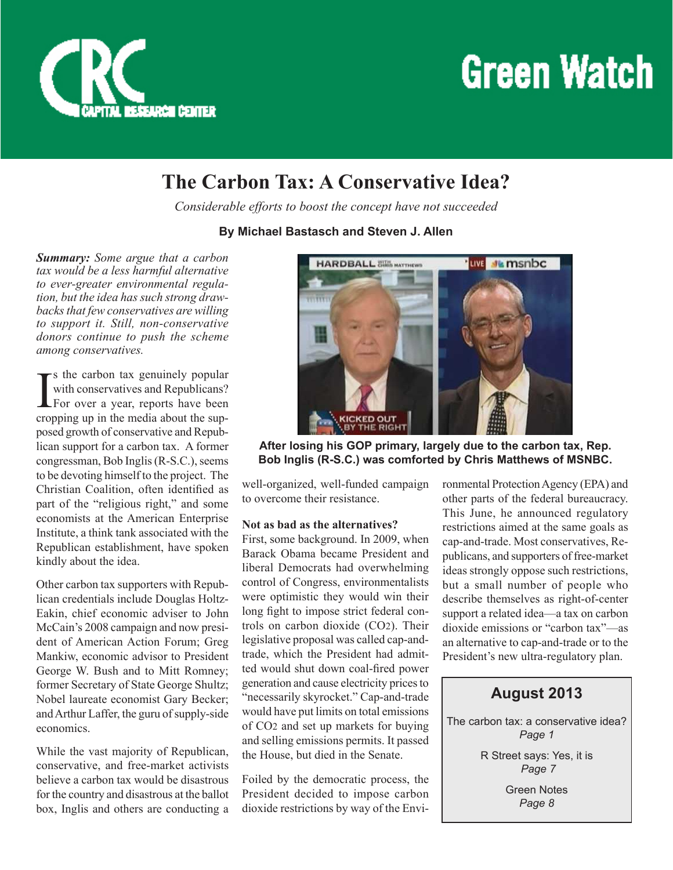

## **Green Watch**

## **The Carbon Tax: A Conservative Idea?**

*Considerable efforts to boost the concept have not succeeded*

#### **By Michael Bastasch and Steven J. Allen**

*Summary: Some argue that a carbon tax would be a less harmful alternative to ever-greater environmental regulation, but the idea has such strong drawbacks that few conservatives are willing to support it. Still, non-conservative donors continue to push the scheme among conservatives.*

I  $\mathbf{T}$ <sup>s</sup> the carbon tax genuinely popular with conservatives and Republicans? For over a year, reports have been cropping up in the media about the supposed growth of conservative and Republican support for a carbon tax. A former congressman, Bob Inglis (R-S.C.), seems to be devoting himself to the project. The Christian Coalition, often identified as part of the "religious right," and some economists at the American Enterprise Institute, a think tank associated with the Republican establishment, have spoken kindly about the idea.

Other carbon tax supporters with Republican credentials include Douglas Holtz-Eakin, chief economic adviser to John McCain's 2008 campaign and now president of American Action Forum; Greg Mankiw, economic advisor to President George W. Bush and to Mitt Romney; former Secretary of State George Shultz; Nobel laureate economist Gary Becker; and Arthur Laffer, the guru of supply-side economics.

While the vast majority of Republican, conservative, and free-market activists believe a carbon tax would be disastrous for the country and disastrous at the ballot box, Inglis and others are conducting a



**After losing his GOP primary, largely due to the carbon tax, Rep. Bob Inglis (R-S.C.) was comforted by Chris Matthews of MSNBC.**

well-organized, well-funded campaign to overcome their resistance.

#### **Not as bad as the alternatives?**

First, some background. In 2009, when Barack Obama became President and liberal Democrats had overwhelming control of Congress, environmentalists were optimistic they would win their long fight to impose strict federal controls on carbon dioxide (CO2). Their legislative proposal was called cap-andtrade, which the President had admitted would shut down coal-fired power generation and cause electricity prices to "necessarily skyrocket." Cap-and-trade would have put limits on total emissions of CO2 and set up markets for buying and selling emissions permits. It passed the House, but died in the Senate.

Foiled by the democratic process, the President decided to impose carbon dioxide restrictions by way of the Environmental Protection Agency (EPA) and other parts of the federal bureaucracy. This June, he announced regulatory restrictions aimed at the same goals as cap-and-trade. Most conservatives, Republicans, and supporters of free-market ideas strongly oppose such restrictions, but a small number of people who describe themselves as right-of-center support a related idea—a tax on carbon dioxide emissions or "carbon tax"—as an alternative to cap-and-trade or to the President's new ultra-regulatory plan.

### **August 2013**

The carbon tax: a conservative idea? *Page 1*

> R Street says: Yes, it is  *Page 7*

> > Green Notes *Page 8*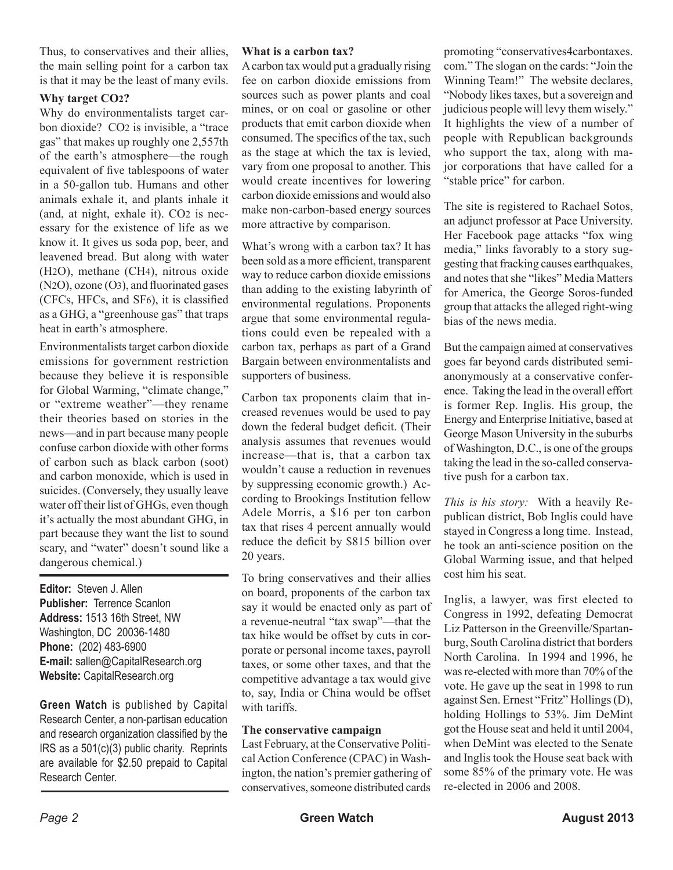Thus, to conservatives and their allies, the main selling point for a carbon tax is that it may be the least of many evils.

#### **Why target CO2?**

Why do environmentalists target carbon dioxide? CO2 is invisible, a "trace gas" that makes up roughly one 2,557th of the earth's atmosphere—the rough equivalent of five tablespoons of water in a 50-gallon tub. Humans and other animals exhale it, and plants inhale it (and, at night, exhale it). CO2 is necessary for the existence of life as we know it. It gives us soda pop, beer, and leavened bread. But along with water (H2O), methane (CH4), nitrous oxide (N2O), ozone (O3), and fluorinated gases (CFCs, HFCs, and SF6), it is classified as a GHG, a "greenhouse gas" that traps heat in earth's atmosphere.

Environmentalists target carbon dioxide emissions for government restriction because they believe it is responsible for Global Warming, "climate change," or "extreme weather"—they rename their theories based on stories in the news—and in part because many people confuse carbon dioxide with other forms of carbon such as black carbon (soot) and carbon monoxide, which is used in suicides. (Conversely, they usually leave water off their list of GHGs, even though it's actually the most abundant GHG, in part because they want the list to sound scary, and "water" doesn't sound like a dangerous chemical.)

**Editor:** Steven J. Allen **Publisher:** Terrence Scanlon **Address:** 1513 16th Street, NW Washington, DC 20036-1480 **Phone:** (202) 483-6900 **E-mail:** sallen@CapitalResearch.org **Website:** CapitalResearch.org

**Green Watch** is published by Capital Research Center, a non-partisan education and research organization classified by the IRS as a 501(c)(3) public charity. Reprints are available for \$2.50 prepaid to Capital Research Center.

#### **What is a carbon tax?**

A carbon tax would put a gradually rising fee on carbon dioxide emissions from sources such as power plants and coal mines, or on coal or gasoline or other products that emit carbon dioxide when consumed. The specifics of the tax, such as the stage at which the tax is levied, vary from one proposal to another. This would create incentives for lowering carbon dioxide emissions and would also make non-carbon-based energy sources more attractive by comparison.

What's wrong with a carbon tax? It has been sold as a more efficient, transparent way to reduce carbon dioxide emissions than adding to the existing labyrinth of environmental regulations. Proponents argue that some environmental regulations could even be repealed with a carbon tax, perhaps as part of a Grand Bargain between environmentalists and supporters of business.

Carbon tax proponents claim that increased revenues would be used to pay down the federal budget deficit. (Their analysis assumes that revenues would increase—that is, that a carbon tax wouldn't cause a reduction in revenues by suppressing economic growth.) According to Brookings Institution fellow Adele Morris, a \$16 per ton carbon tax that rises 4 percent annually would reduce the deficit by \$815 billion over 20 years.

To bring conservatives and their allies on board, proponents of the carbon tax say it would be enacted only as part of a revenue-neutral "tax swap"—that the tax hike would be offset by cuts in corporate or personal income taxes, payroll taxes, or some other taxes, and that the competitive advantage a tax would give to, say, India or China would be offset with tariffs.

#### **The conservative campaign**

Last February, at the Conservative Political Action Conference (CPAC) in Washington, the nation's premier gathering of conservatives, someone distributed cards promoting "conservatives4carbontaxes. com." The slogan on the cards: "Join the Winning Team!" The website declares, "Nobody likes taxes, but a sovereign and judicious people will levy them wisely." It highlights the view of a number of people with Republican backgrounds who support the tax, along with major corporations that have called for a "stable price" for carbon.

The site is registered to Rachael Sotos, an adjunct professor at Pace University. Her Facebook page attacks "fox wing media," links favorably to a story suggesting that fracking causes earthquakes, and notes that she "likes" Media Matters for America, the George Soros-funded group that attacks the alleged right-wing bias of the news media.

But the campaign aimed at conservatives goes far beyond cards distributed semianonymously at a conservative conference. Taking the lead in the overall effort is former Rep. Inglis. His group, the Energy and Enterprise Initiative, based at George Mason University in the suburbs of Washington, D.C., is one of the groups taking the lead in the so-called conservative push for a carbon tax.

*This is his story:* With a heavily Republican district, Bob Inglis could have stayed in Congress a long time. Instead, he took an anti-science position on the Global Warming issue, and that helped cost him his seat.

Inglis, a lawyer, was first elected to Congress in 1992, defeating Democrat Liz Patterson in the Greenville/Spartanburg, South Carolina district that borders North Carolina. In 1994 and 1996, he was re-elected with more than 70% of the vote. He gave up the seat in 1998 to run against Sen. Ernest "Fritz" Hollings (D), holding Hollings to 53%. Jim DeMint got the House seat and held it until 2004, when DeMint was elected to the Senate and Inglis took the House seat back with some 85% of the primary vote. He was re-elected in 2006 and 2008.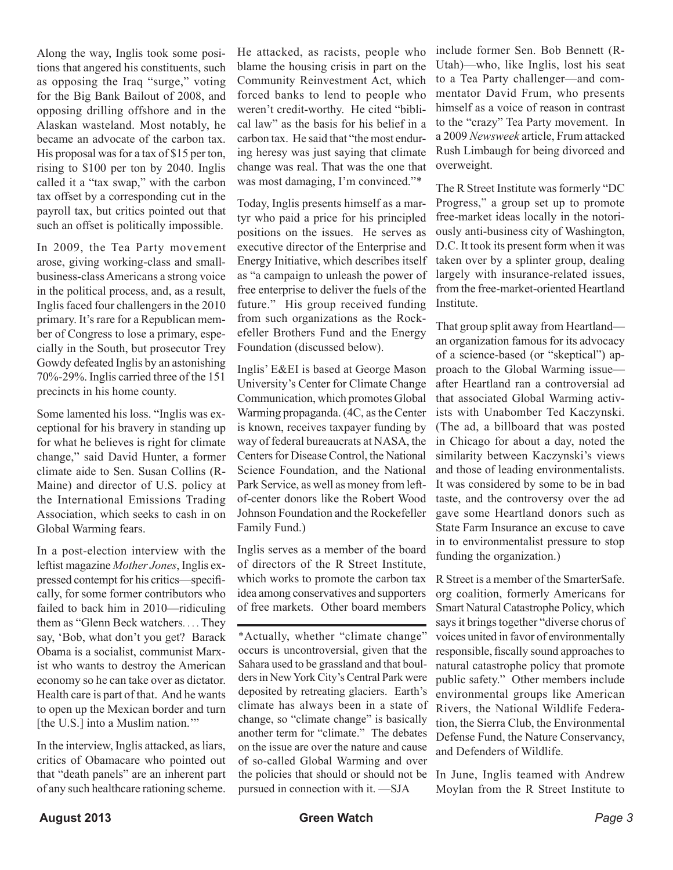Along the way, Inglis took some positions that angered his constituents, such as opposing the Iraq "surge," voting for the Big Bank Bailout of 2008, and opposing drilling offshore and in the Alaskan wasteland. Most notably, he became an advocate of the carbon tax. His proposal was for a tax of \$15 per ton, rising to \$100 per ton by 2040. Inglis called it a "tax swap," with the carbon tax offset by a corresponding cut in the payroll tax, but critics pointed out that such an offset is politically impossible.

In 2009, the Tea Party movement arose, giving working-class and smallbusiness-class Americans a strong voice in the political process, and, as a result, Inglis faced four challengers in the 2010 primary. It's rare for a Republican member of Congress to lose a primary, especially in the South, but prosecutor Trey Gowdy defeated Inglis by an astonishing 70%-29%. Inglis carried three of the 151 precincts in his home county.

Some lamented his loss. "Inglis was exceptional for his bravery in standing up for what he believes is right for climate change," said David Hunter, a former climate aide to Sen. Susan Collins (R-Maine) and director of U.S. policy at the International Emissions Trading Association, which seeks to cash in on Global Warming fears.

In a post-election interview with the leftist magazine *Mother Jones*, Inglis expressed contempt for his critics—specifically, for some former contributors who failed to back him in 2010—ridiculing them as "Glenn Beck watchers. . . . They say, 'Bob, what don't you get? Barack Obama is a socialist, communist Marxist who wants to destroy the American economy so he can take over as dictator. Health care is part of that. And he wants to open up the Mexican border and turn [the U.S.] into a Muslim nation."

In the interview, Inglis attacked, as liars, critics of Obamacare who pointed out that "death panels" are an inherent part of any such healthcare rationing scheme.

He attacked, as racists, people who blame the housing crisis in part on the Community Reinvestment Act, which forced banks to lend to people who weren't credit-worthy. He cited "biblical law" as the basis for his belief in a carbon tax. He said that "the most enduring heresy was just saying that climate change was real. That was the one that was most damaging, I'm convinced."\*

Today, Inglis presents himself as a martyr who paid a price for his principled positions on the issues. He serves as executive director of the Enterprise and Energy Initiative, which describes itself as "a campaign to unleash the power of free enterprise to deliver the fuels of the future." His group received funding from such organizations as the Rockefeller Brothers Fund and the Energy Foundation (discussed below).

Inglis' E&EI is based at George Mason University's Center for Climate Change Communication, which promotes Global Warming propaganda. (4C, as the Center is known, receives taxpayer funding by way of federal bureaucrats at NASA, the Centers for Disease Control, the National Science Foundation, and the National Park Service, as well as money from leftof-center donors like the Robert Wood Johnson Foundation and the Rockefeller Family Fund.)

Inglis serves as a member of the board of directors of the R Street Institute, which works to promote the carbon tax idea among conservatives and supporters of free markets. Other board members

\*Actually, whether "climate change" occurs is uncontroversial, given that the Sahara used to be grassland and that boulders in New York City's Central Park were deposited by retreating glaciers. Earth's climate has always been in a state of change, so "climate change" is basically another term for "climate." The debates on the issue are over the nature and cause of so-called Global Warming and over the policies that should or should not be pursued in connection with it. —SJA

include former Sen. Bob Bennett (R-Utah)—who, like Inglis, lost his seat to a Tea Party challenger—and commentator David Frum, who presents himself as a voice of reason in contrast to the "crazy" Tea Party movement. In a 2009 *Newsweek* article, Frum attacked Rush Limbaugh for being divorced and overweight.

The R Street Institute was formerly "DC Progress," a group set up to promote free-market ideas locally in the notoriously anti-business city of Washington, D.C. It took its present form when it was taken over by a splinter group, dealing largely with insurance-related issues, from the free-market-oriented Heartland Institute.

That group split away from Heartland an organization famous for its advocacy of a science-based (or "skeptical") approach to the Global Warming issue after Heartland ran a controversial ad that associated Global Warming activists with Unabomber Ted Kaczynski. (The ad, a billboard that was posted in Chicago for about a day, noted the similarity between Kaczynski's views and those of leading environmentalists. It was considered by some to be in bad taste, and the controversy over the ad gave some Heartland donors such as State Farm Insurance an excuse to cave in to environmentalist pressure to stop funding the organization.)

R Street is a member of the SmarterSafe. org coalition, formerly Americans for Smart Natural Catastrophe Policy, which says it brings together "diverse chorus of voices united in favor of environmentally responsible, fiscally sound approaches to natural catastrophe policy that promote public safety." Other members include environmental groups like American Rivers, the National Wildlife Federation, the Sierra Club, the Environmental Defense Fund, the Nature Conservancy, and Defenders of Wildlife.

In June, Inglis teamed with Andrew Moylan from the R Street Institute to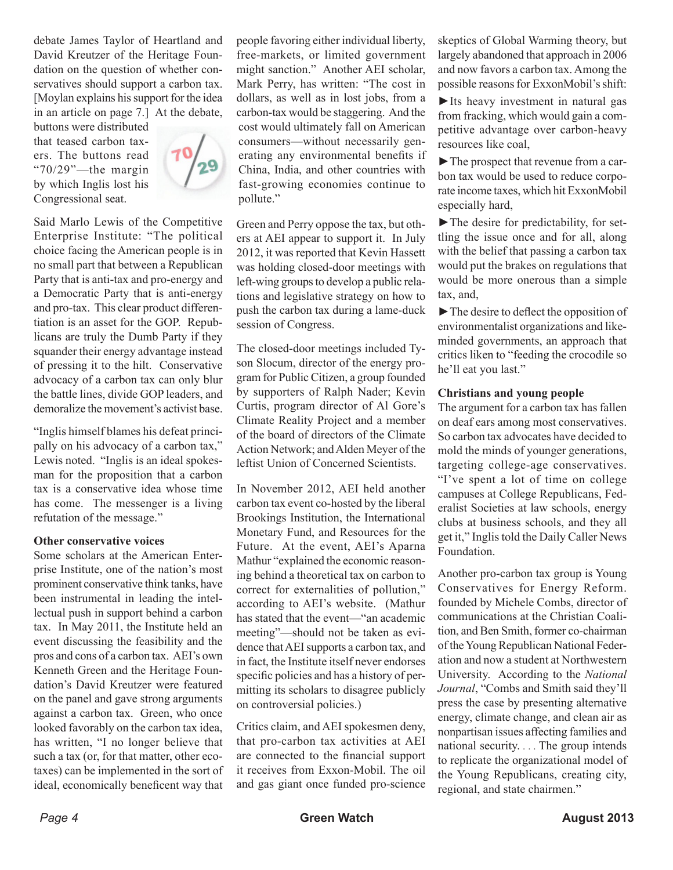debate James Taylor of Heartland and David Kreutzer of the Heritage Foundation on the question of whether conservatives should support a carbon tax. [Moylan explains his support for the idea in an article on page 7.] At the debate,

buttons were distributed that teased carbon taxers. The buttons read "70/29"—the margin by which Inglis lost his Congressional seat.



Said Marlo Lewis of the Competitive Enterprise Institute: "The political choice facing the American people is in no small part that between a Republican Party that is anti-tax and pro-energy and a Democratic Party that is anti-energy and pro-tax. This clear product differentiation is an asset for the GOP. Republicans are truly the Dumb Party if they squander their energy advantage instead of pressing it to the hilt. Conservative advocacy of a carbon tax can only blur the battle lines, divide GOP leaders, and demoralize the movement's activist base.

"Inglis himself blames his defeat principally on his advocacy of a carbon tax," Lewis noted. "Inglis is an ideal spokesman for the proposition that a carbon tax is a conservative idea whose time has come. The messenger is a living refutation of the message."

#### **Other conservative voices**

Some scholars at the American Enterprise Institute, one of the nation's most prominent conservative think tanks, have been instrumental in leading the intellectual push in support behind a carbon tax. In May 2011, the Institute held an event discussing the feasibility and the pros and cons of a carbon tax. AEI's own Kenneth Green and the Heritage Foundation's David Kreutzer were featured on the panel and gave strong arguments against a carbon tax. Green, who once looked favorably on the carbon tax idea, has written, "I no longer believe that such a tax (or, for that matter, other ecotaxes) can be implemented in the sort of ideal, economically beneficent way that

people favoring either individual liberty, free-markets, or limited government might sanction." Another AEI scholar, Mark Perry, has written: "The cost in dollars, as well as in lost jobs, from a carbon-tax would be staggering. And the cost would ultimately fall on American consumers—without necessarily generating any environmental benefits if China, India, and other countries with fast-growing economies continue to pollute."

Green and Perry oppose the tax, but others at AEI appear to support it. In July 2012, it was reported that Kevin Hassett was holding closed-door meetings with left-wing groups to develop a public relations and legislative strategy on how to push the carbon tax during a lame-duck session of Congress.

The closed-door meetings included Tyson Slocum, director of the energy program for Public Citizen, a group founded by supporters of Ralph Nader; Kevin Curtis, program director of Al Gore's Climate Reality Project and a member of the board of directors of the Climate Action Network; and Alden Meyer of the leftist Union of Concerned Scientists.

In November 2012, AEI held another carbon tax event co-hosted by the liberal Brookings Institution, the International Monetary Fund, and Resources for the Future. At the event, AEI's Aparna Mathur "explained the economic reasoning behind a theoretical tax on carbon to correct for externalities of pollution," according to AEI's website. (Mathur has stated that the event—"an academic meeting"—should not be taken as evidence that AEI supports a carbon tax, and in fact, the Institute itself never endorses specific policies and has a history of permitting its scholars to disagree publicly on controversial policies.)

Critics claim, and AEI spokesmen deny, that pro-carbon tax activities at AEI are connected to the financial support it receives from Exxon-Mobil. The oil and gas giant once funded pro-science

skeptics of Global Warming theory, but largely abandoned that approach in 2006 and now favors a carbon tax. Among the possible reasons for ExxonMobil's shift:

►Its heavy investment in natural gas from fracking, which would gain a competitive advantage over carbon-heavy resources like coal,

►The prospect that revenue from a carbon tax would be used to reduce corporate income taxes, which hit ExxonMobil especially hard,

►The desire for predictability, for settling the issue once and for all, along with the belief that passing a carbon tax would put the brakes on regulations that would be more onerous than a simple tax, and,

►The desire to deflect the opposition of environmentalist organizations and likeminded governments, an approach that critics liken to "feeding the crocodile so he'll eat you last."

#### **Christians and young people**

The argument for a carbon tax has fallen on deaf ears among most conservatives. So carbon tax advocates have decided to mold the minds of younger generations, targeting college-age conservatives. "I've spent a lot of time on college campuses at College Republicans, Federalist Societies at law schools, energy clubs at business schools, and they all get it," Inglis told the Daily Caller News Foundation.

Another pro-carbon tax group is Young Conservatives for Energy Reform. founded by Michele Combs, director of communications at the Christian Coalition, and Ben Smith, former co-chairman of the Young Republican National Federation and now a student at Northwestern University. According to the *National Journal*, "Combs and Smith said they'll press the case by presenting alternative energy, climate change, and clean air as nonpartisan issues affecting families and national security. . . . The group intends to replicate the organizational model of the Young Republicans, creating city, regional, and state chairmen."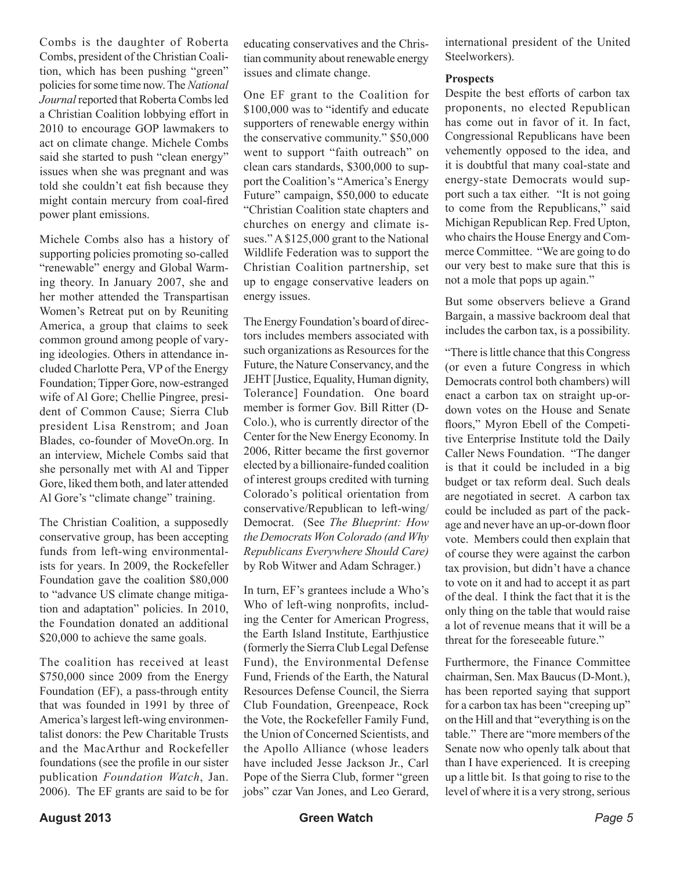Combs is the daughter of Roberta Combs, president of the Christian Coalition, which has been pushing "green" policies for some time now. The *National Journal* reported that Roberta Combs led a Christian Coalition lobbying effort in 2010 to encourage GOP lawmakers to act on climate change. Michele Combs said she started to push "clean energy" issues when she was pregnant and was told she couldn't eat fish because they might contain mercury from coal-fired power plant emissions.

Michele Combs also has a history of supporting policies promoting so-called "renewable" energy and Global Warming theory. In January 2007, she and her mother attended the Transpartisan Women's Retreat put on by Reuniting America, a group that claims to seek common ground among people of varying ideologies. Others in attendance included Charlotte Pera, VP of the Energy Foundation; Tipper Gore, now-estranged wife of Al Gore; Chellie Pingree, president of Common Cause; Sierra Club president Lisa Renstrom; and Joan Blades, co-founder of MoveOn.org. In an interview, Michele Combs said that she personally met with Al and Tipper Gore, liked them both, and later attended Al Gore's "climate change" training.

The Christian Coalition, a supposedly conservative group, has been accepting funds from left-wing environmentalists for years. In 2009, the Rockefeller Foundation gave the coalition \$80,000 to "advance US climate change mitigation and adaptation" policies. In 2010, the Foundation donated an additional \$20,000 to achieve the same goals.

The coalition has received at least \$750,000 since 2009 from the Energy Foundation (EF), a pass-through entity that was founded in 1991 by three of America's largest left-wing environmentalist donors: the Pew Charitable Trusts and the MacArthur and Rockefeller foundations (see the profile in our sister publication *Foundation Watch*, Jan. 2006). The EF grants are said to be for

educating conservatives and the Christian community about renewable energy issues and climate change.

One EF grant to the Coalition for \$100,000 was to "identify and educate supporters of renewable energy within the conservative community." \$50,000 went to support "faith outreach" on clean cars standards, \$300,000 to support the Coalition's "America's Energy Future" campaign, \$50,000 to educate "Christian Coalition state chapters and churches on energy and climate issues." A \$125,000 grant to the National Wildlife Federation was to support the Christian Coalition partnership, set up to engage conservative leaders on energy issues.

The Energy Foundation's board of directors includes members associated with such organizations as Resources for the Future, the Nature Conservancy, and the JEHT [Justice, Equality, Human dignity, Tolerance] Foundation. One board member is former Gov. Bill Ritter (D-Colo.), who is currently director of the Center for the New Energy Economy. In 2006, Ritter became the first governor elected by a billionaire-funded coalition of interest groups credited with turning Colorado's political orientation from conservative/Republican to left-wing/ Democrat. (See *The Blueprint: How the Democrats Won Colorado (and Why Republicans Everywhere Should Care)* by Rob Witwer and Adam Schrager.)

In turn, EF's grantees include a Who's Who of left-wing nonprofits, including the Center for American Progress, the Earth Island Institute, Earthjustice (formerly the Sierra Club Legal Defense Fund), the Environmental Defense Fund, Friends of the Earth, the Natural Resources Defense Council, the Sierra Club Foundation, Greenpeace, Rock the Vote, the Rockefeller Family Fund, the Union of Concerned Scientists, and the Apollo Alliance (whose leaders have included Jesse Jackson Jr., Carl Pope of the Sierra Club, former "green jobs" czar Van Jones, and Leo Gerard, international president of the United Steelworkers).

#### **Prospects**

Despite the best efforts of carbon tax proponents, no elected Republican has come out in favor of it. In fact, Congressional Republicans have been vehemently opposed to the idea, and it is doubtful that many coal-state and energy-state Democrats would support such a tax either. "It is not going to come from the Republicans," said Michigan Republican Rep. Fred Upton, who chairs the House Energy and Commerce Committee. "We are going to do our very best to make sure that this is not a mole that pops up again."

But some observers believe a Grand Bargain, a massive backroom deal that includes the carbon tax, is a possibility.

"There is little chance that this Congress (or even a future Congress in which Democrats control both chambers) will enact a carbon tax on straight up-ordown votes on the House and Senate floors," Myron Ebell of the Competitive Enterprise Institute told the Daily Caller News Foundation. "The danger is that it could be included in a big budget or tax reform deal. Such deals are negotiated in secret. A carbon tax could be included as part of the package and never have an up-or-down floor vote. Members could then explain that of course they were against the carbon tax provision, but didn't have a chance to vote on it and had to accept it as part of the deal. I think the fact that it is the only thing on the table that would raise a lot of revenue means that it will be a threat for the foreseeable future."

Furthermore, the Finance Committee chairman, Sen. Max Baucus (D-Mont.), has been reported saying that support for a carbon tax has been "creeping up" on the Hill and that "everything is on the table." There are "more members of the Senate now who openly talk about that than I have experienced. It is creeping up a little bit. Is that going to rise to the level of where it is a very strong, serious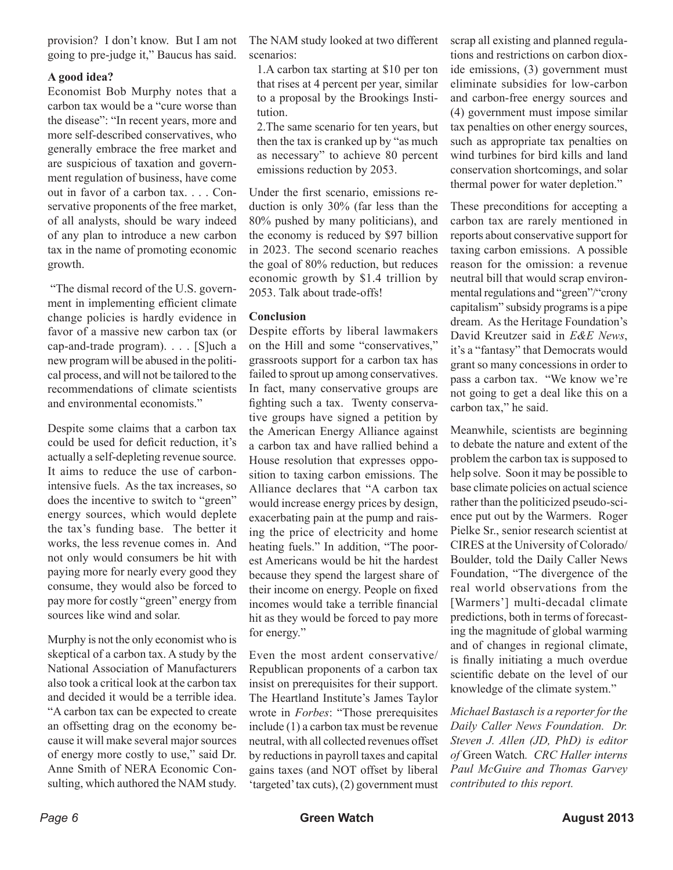provision? I don't know. But I am not going to pre-judge it," Baucus has said.

#### **A good idea?**

Economist Bob Murphy notes that a carbon tax would be a "cure worse than the disease": "In recent years, more and more self-described conservatives, who generally embrace the free market and are suspicious of taxation and government regulation of business, have come out in favor of a carbon tax. . . . Conservative proponents of the free market, of all analysts, should be wary indeed of any plan to introduce a new carbon tax in the name of promoting economic growth.

 "The dismal record of the U.S. government in implementing efficient climate change policies is hardly evidence in favor of a massive new carbon tax (or cap-and-trade program). . . . [S]uch a new program will be abused in the political process, and will not be tailored to the recommendations of climate scientists and environmental economists."

Despite some claims that a carbon tax could be used for deficit reduction, it's actually a self-depleting revenue source. It aims to reduce the use of carbonintensive fuels. As the tax increases, so does the incentive to switch to "green" energy sources, which would deplete the tax's funding base. The better it works, the less revenue comes in. And not only would consumers be hit with paying more for nearly every good they consume, they would also be forced to pay more for costly "green" energy from sources like wind and solar.

Murphy is not the only economist who is skeptical of a carbon tax. A study by the National Association of Manufacturers also took a critical look at the carbon tax and decided it would be a terrible idea. "A carbon tax can be expected to create an offsetting drag on the economy because it will make several major sources of energy more costly to use," said Dr. Anne Smith of NERA Economic Consulting, which authored the NAM study.

The NAM study looked at two different scenarios:

1.A carbon tax starting at \$10 per ton that rises at 4 percent per year, similar to a proposal by the Brookings Institution.

2.The same scenario for ten years, but then the tax is cranked up by "as much as necessary" to achieve 80 percent emissions reduction by 2053.

Under the first scenario, emissions reduction is only 30% (far less than the 80% pushed by many politicians), and the economy is reduced by \$97 billion in 2023. The second scenario reaches the goal of 80% reduction, but reduces economic growth by \$1.4 trillion by 2053. Talk about trade-offs!

#### **Conclusion**

Despite efforts by liberal lawmakers on the Hill and some "conservatives," grassroots support for a carbon tax has failed to sprout up among conservatives. In fact, many conservative groups are fighting such a tax. Twenty conservative groups have signed a petition by the American Energy Alliance against a carbon tax and have rallied behind a House resolution that expresses opposition to taxing carbon emissions. The Alliance declares that "A carbon tax would increase energy prices by design, exacerbating pain at the pump and raising the price of electricity and home heating fuels." In addition, "The poorest Americans would be hit the hardest because they spend the largest share of their income on energy. People on fixed incomes would take a terrible financial hit as they would be forced to pay more for energy."

Even the most ardent conservative/ Republican proponents of a carbon tax insist on prerequisites for their support. The Heartland Institute's James Taylor wrote in *Forbes*: "Those prerequisites include (1) a carbon tax must be revenue neutral, with all collected revenues offset by reductions in payroll taxes and capital gains taxes (and NOT offset by liberal 'targeted' tax cuts), (2) government must scrap all existing and planned regulations and restrictions on carbon dioxide emissions, (3) government must eliminate subsidies for low-carbon and carbon-free energy sources and (4) government must impose similar tax penalties on other energy sources, such as appropriate tax penalties on wind turbines for bird kills and land conservation shortcomings, and solar thermal power for water depletion."

These preconditions for accepting a carbon tax are rarely mentioned in reports about conservative support for taxing carbon emissions. A possible reason for the omission: a revenue neutral bill that would scrap environmental regulations and "green"/"crony capitalism" subsidy programs is a pipe dream. As the Heritage Foundation's David Kreutzer said in *E&E News*, it's a "fantasy" that Democrats would grant so many concessions in order to pass a carbon tax. "We know we're not going to get a deal like this on a carbon tax," he said.

Meanwhile, scientists are beginning to debate the nature and extent of the problem the carbon tax is supposed to help solve. Soon it may be possible to base climate policies on actual science rather than the politicized pseudo-science put out by the Warmers. Roger Pielke Sr., senior research scientist at CIRES at the University of Colorado/ Boulder, told the Daily Caller News Foundation, "The divergence of the real world observations from the [Warmers'] multi-decadal climate predictions, both in terms of forecasting the magnitude of global warming and of changes in regional climate, is finally initiating a much overdue scientific debate on the level of our knowledge of the climate system."

*Michael Bastasch is a reporter for the Daily Caller News Foundation. Dr. Steven J. Allen (JD, PhD) is editor of* Green Watch*. CRC Haller interns Paul McGuire and Thomas Garvey contributed to this report.*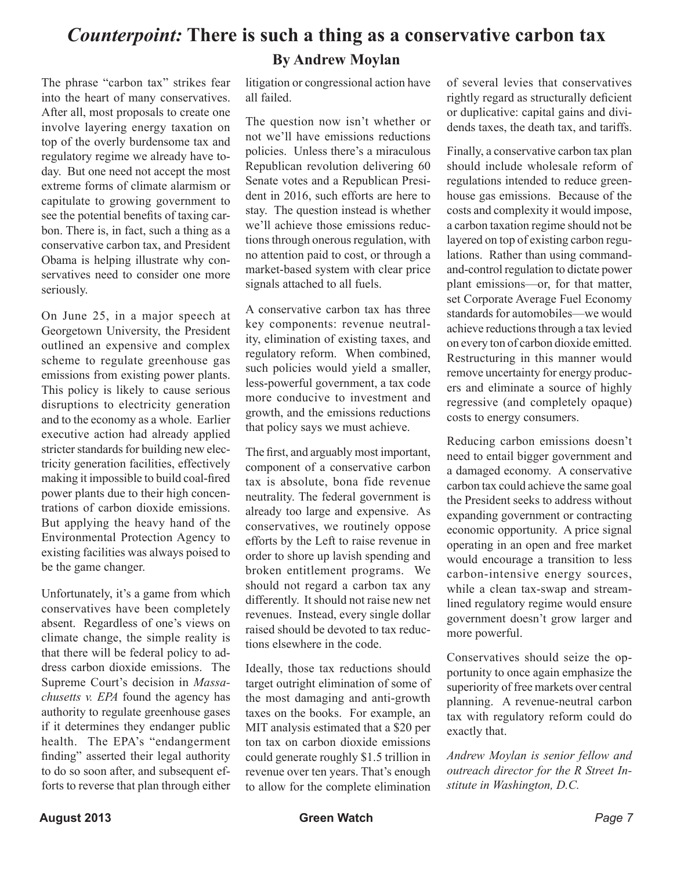## *Counterpoint:* **There is such a thing as a conservative carbon tax By Andrew Moylan**

The phrase "carbon tax" strikes fear into the heart of many conservatives. After all, most proposals to create one involve layering energy taxation on top of the overly burdensome tax and regulatory regime we already have today. But one need not accept the most extreme forms of climate alarmism or capitulate to growing government to see the potential benefits of taxing carbon. There is, in fact, such a thing as a conservative carbon tax, and President Obama is helping illustrate why conservatives need to consider one more seriously.

On June 25, in a major speech at Georgetown University, the President outlined an expensive and complex scheme to regulate greenhouse gas emissions from existing power plants. This policy is likely to cause serious disruptions to electricity generation and to the economy as a whole. Earlier executive action had already applied stricter standards for building new electricity generation facilities, effectively making it impossible to build coal-fired power plants due to their high concentrations of carbon dioxide emissions. But applying the heavy hand of the Environmental Protection Agency to existing facilities was always poised to be the game changer.

Unfortunately, it's a game from which conservatives have been completely absent. Regardless of one's views on climate change, the simple reality is that there will be federal policy to address carbon dioxide emissions. The Supreme Court's decision in *Massachusetts v. EPA* found the agency has authority to regulate greenhouse gases if it determines they endanger public health. The EPA's "endangerment finding" asserted their legal authority to do so soon after, and subsequent efforts to reverse that plan through either

litigation or congressional action have all failed.

The question now isn't whether or not we'll have emissions reductions policies. Unless there's a miraculous Republican revolution delivering 60 Senate votes and a Republican President in 2016, such efforts are here to stay. The question instead is whether we'll achieve those emissions reductions through onerous regulation, with no attention paid to cost, or through a market-based system with clear price signals attached to all fuels.

A conservative carbon tax has three key components: revenue neutrality, elimination of existing taxes, and regulatory reform. When combined, such policies would yield a smaller, less-powerful government, a tax code more conducive to investment and growth, and the emissions reductions that policy says we must achieve.

The first, and arguably most important, component of a conservative carbon tax is absolute, bona fide revenue neutrality. The federal government is already too large and expensive. As conservatives, we routinely oppose efforts by the Left to raise revenue in order to shore up lavish spending and broken entitlement programs. We should not regard a carbon tax any differently. It should not raise new net revenues. Instead, every single dollar raised should be devoted to tax reductions elsewhere in the code.

Ideally, those tax reductions should target outright elimination of some of the most damaging and anti-growth taxes on the books. For example, an MIT analysis estimated that a \$20 per ton tax on carbon dioxide emissions could generate roughly \$1.5 trillion in revenue over ten years. That's enough to allow for the complete elimination

of several levies that conservatives rightly regard as structurally deficient or duplicative: capital gains and dividends taxes, the death tax, and tariffs.

Finally, a conservative carbon tax plan should include wholesale reform of regulations intended to reduce greenhouse gas emissions. Because of the costs and complexity it would impose, a carbon taxation regime should not be layered on top of existing carbon regulations. Rather than using commandand-control regulation to dictate power plant emissions—or, for that matter, set Corporate Average Fuel Economy standards for automobiles—we would achieve reductions through a tax levied on every ton of carbon dioxide emitted. Restructuring in this manner would remove uncertainty for energy producers and eliminate a source of highly regressive (and completely opaque) costs to energy consumers.

Reducing carbon emissions doesn't need to entail bigger government and a damaged economy. A conservative carbon tax could achieve the same goal the President seeks to address without expanding government or contracting economic opportunity. A price signal operating in an open and free market would encourage a transition to less carbon-intensive energy sources, while a clean tax-swap and streamlined regulatory regime would ensure government doesn't grow larger and more powerful.

Conservatives should seize the opportunity to once again emphasize the superiority of free markets over central planning. A revenue-neutral carbon tax with regulatory reform could do exactly that.

*Andrew Moylan is senior fellow and outreach director for the R Street Institute in Washington, D.C.*